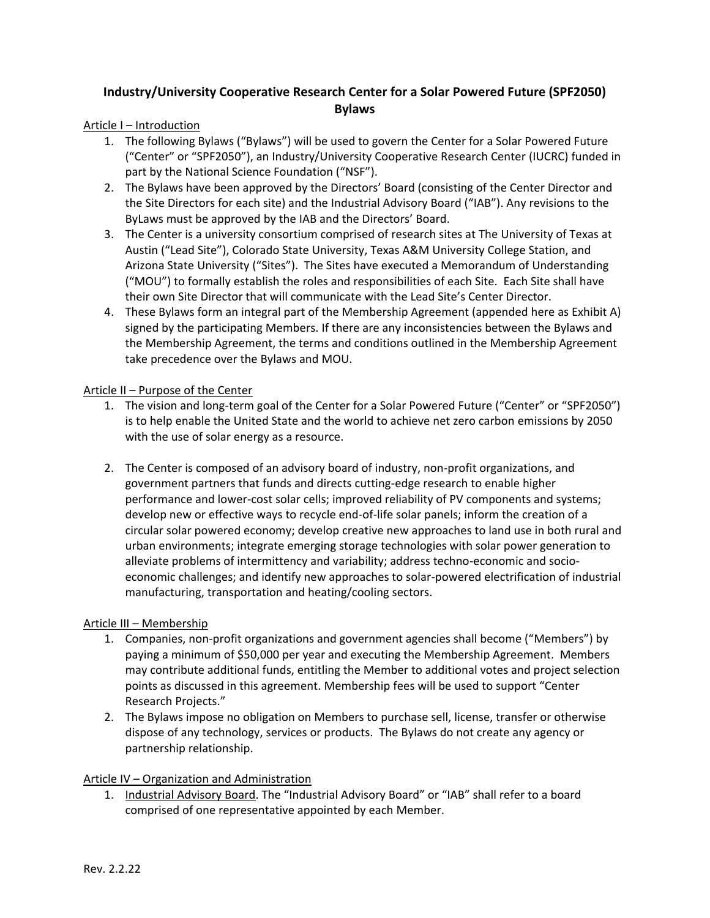# **Industry/University Cooperative Research Center for a Solar Powered Future (SPF2050)**

#### **Bylaws**

Article I – Introduction

- 1. The following Bylaws ("Bylaws") will be used to govern the Center for a Solar Powered Future ("Center" or "SPF2050"), an Industry/University Cooperative Research Center (IUCRC) funded in part by the National Science Foundation ("NSF").
- 2. The Bylaws have been approved by the Directors' Board (consisting of the Center Director and the Site Directors for each site) and the Industrial Advisory Board ("IAB"). Any revisions to the ByLaws must be approved by the IAB and the Directors' Board.
- 3. The Center is a university consortium comprised of research sites at The University of Texas at Austin ("Lead Site"), Colorado State University, Texas A&M University College Station, and Arizona State University ("Sites"). The Sites have executed a Memorandum of Understanding ("MOU") to formally establish the roles and responsibilities of each Site. Each Site shall have their own Site Director that will communicate with the Lead Site's Center Director.
- 4. These Bylaws form an integral part of the Membership Agreement (appended here as Exhibit A) signed by the participating Members. If there are any inconsistencies between the Bylaws and the Membership Agreement, the terms and conditions outlined in the Membership Agreement take precedence over the Bylaws and MOU.

# Article II – Purpose of the Center

- 1. The vision and long-term goal of the Center for a Solar Powered Future ("Center" or "SPF2050") is to help enable the United State and the world to achieve net zero carbon emissions by 2050 with the use of solar energy as a resource.
- 2. The Center is composed of an advisory board of industry, non-profit organizations, and government partners that funds and directs cutting-edge research to enable higher performance and lower-cost solar cells; improved reliability of PV components and systems; develop new or effective ways to recycle end-of-life solar panels; inform the creation of a circular solar powered economy; develop creative new approaches to land use in both rural and urban environments; integrate emerging storage technologies with solar power generation to alleviate problems of intermittency and variability; address techno-economic and socioeconomic challenges; and identify new approaches to solar-powered electrification of industrial manufacturing, transportation and heating/cooling sectors.

# Article III – Membership

- 1. Companies, non-profit organizations and government agencies shall become ("Members") by paying a minimum of \$50,000 per year and executing the Membership Agreement. Members may contribute additional funds, entitling the Member to additional votes and project selection points as discussed in this agreement. Membership fees will be used to support "Center Research Projects."
- 2. The Bylaws impose no obligation on Members to purchase sell, license, transfer or otherwise dispose of any technology, services or products. The Bylaws do not create any agency or partnership relationship.

# Article IV – Organization and Administration

1. Industrial Advisory Board. The "Industrial Advisory Board" or "IAB" shall refer to a board comprised of one representative appointed by each Member.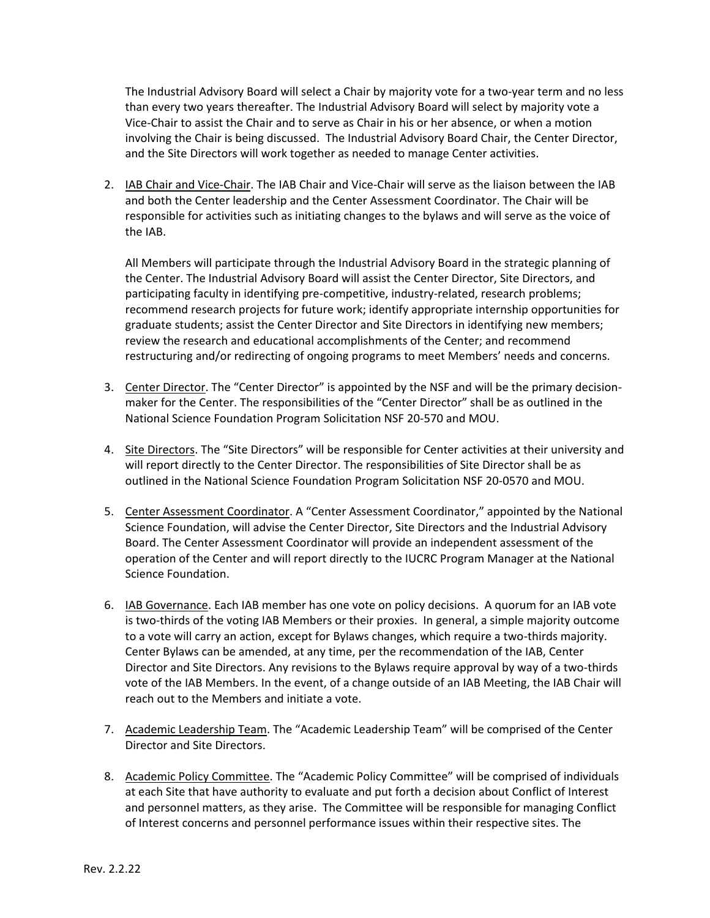The Industrial Advisory Board will select a Chair by majority vote for a two-year term and no less than every two years thereafter. The Industrial Advisory Board will select by majority vote a Vice-Chair to assist the Chair and to serve as Chair in his or her absence, or when a motion involving the Chair is being discussed. The Industrial Advisory Board Chair, the Center Director, and the Site Directors will work together as needed to manage Center activities.

2. IAB Chair and Vice-Chair. The IAB Chair and Vice-Chair will serve as the liaison between the IAB and both the Center leadership and the Center Assessment Coordinator. The Chair will be responsible for activities such as initiating changes to the bylaws and will serve as the voice of the IAB.

All Members will participate through the Industrial Advisory Board in the strategic planning of the Center. The Industrial Advisory Board will assist the Center Director, Site Directors, and participating faculty in identifying pre-competitive, industry-related, research problems; recommend research projects for future work; identify appropriate internship opportunities for graduate students; assist the Center Director and Site Directors in identifying new members; review the research and educational accomplishments of the Center; and recommend restructuring and/or redirecting of ongoing programs to meet Members' needs and concerns.

- 3. Center Director. The "Center Director" is appointed by the NSF and will be the primary decisionmaker for the Center. The responsibilities of the "Center Director" shall be as outlined in the National Science Foundation Program Solicitation NSF 20-570 and MOU.
- 4. Site Directors. The "Site Directors" will be responsible for Center activities at their university and will report directly to the Center Director. The responsibilities of Site Director shall be as outlined in the National Science Foundation Program Solicitation NSF 20-0570 and MOU.
- 5. Center Assessment Coordinator. A "Center Assessment Coordinator," appointed by the National Science Foundation, will advise the Center Director, Site Directors and the Industrial Advisory Board. The Center Assessment Coordinator will provide an independent assessment of the operation of the Center and will report directly to the IUCRC Program Manager at the National Science Foundation.
- 6. **IAB Governance**. Each IAB member has one vote on policy decisions. A quorum for an IAB vote is two-thirds of the voting IAB Members or their proxies. In general, a simple majority outcome to a vote will carry an action, except for Bylaws changes, which require a two-thirds majority. Center Bylaws can be amended, at any time, per the recommendation of the IAB, Center Director and Site Directors. Any revisions to the Bylaws require approval by way of a two-thirds vote of the IAB Members. In the event, of a change outside of an IAB Meeting, the IAB Chair will reach out to the Members and initiate a vote.
- 7. Academic Leadership Team. The "Academic Leadership Team" will be comprised of the Center Director and Site Directors.
- 8. Academic Policy Committee. The "Academic Policy Committee" will be comprised of individuals at each Site that have authority to evaluate and put forth a decision about Conflict of Interest and personnel matters, as they arise. The Committee will be responsible for managing Conflict of Interest concerns and personnel performance issues within their respective sites. The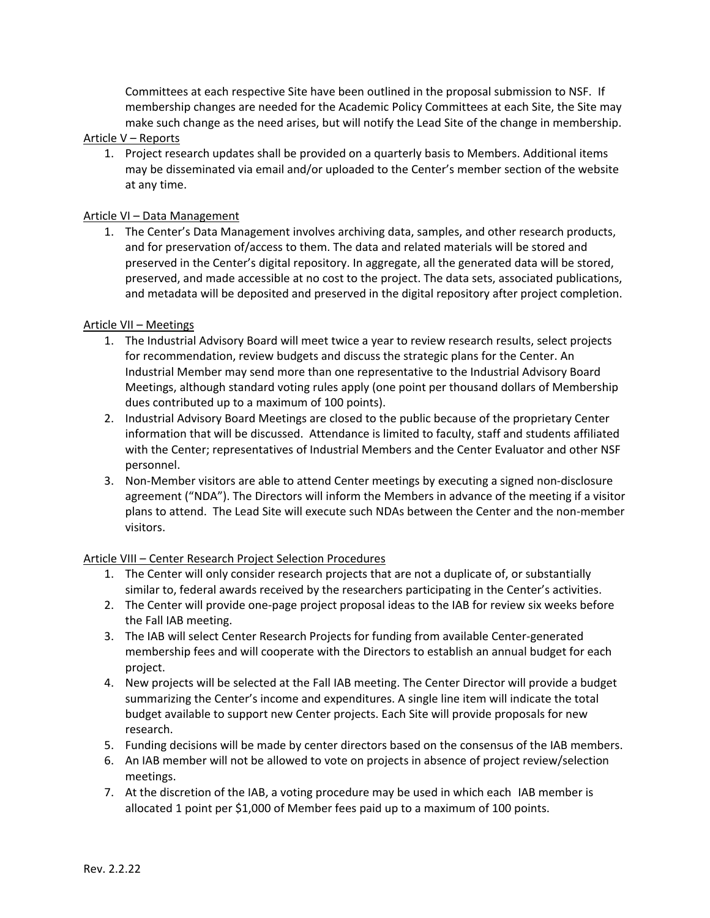Committees at each respective Site have been outlined in the proposal submission to NSF. If membership changes are needed for the Academic Policy Committees at each Site, the Site may make such change as the need arises, but will notify the Lead Site of the change in membership.

#### Article V – Reports

1. Project research updates shall be provided on a quarterly basis to Members. Additional items may be disseminated via email and/or uploaded to the Center's member section of the website at any time.

#### Article VI – Data Management

1. The Center's Data Management involves archiving data, samples, and other research products, and for preservation of/access to them. The data and related materials will be stored and preserved in the Center's digital repository. In aggregate, all the generated data will be stored, preserved, and made accessible at no cost to the project. The data sets, associated publications, and metadata will be deposited and preserved in the digital repository after project completion.

#### Article VII – Meetings

- 1. The Industrial Advisory Board will meet twice a year to review research results, select projects for recommendation, review budgets and discuss the strategic plans for the Center. An Industrial Member may send more than one representative to the Industrial Advisory Board Meetings, although standard voting rules apply (one point per thousand dollars of Membership dues contributed up to a maximum of 100 points).
- 2. Industrial Advisory Board Meetings are closed to the public because of the proprietary Center information that will be discussed. Attendance is limited to faculty, staff and students affiliated with the Center; representatives of Industrial Members and the Center Evaluator and other NSF personnel.
- 3. Non-Member visitors are able to attend Center meetings by executing a signed non-disclosure agreement ("NDA"). The Directors will inform the Members in advance of the meeting if a visitor plans to attend. The Lead Site will execute such NDAs between the Center and the non-member visitors.

# Article VIII – Center Research Project Selection Procedures

- 1. The Center will only consider research projects that are not a duplicate of, or substantially similar to, federal awards received by the researchers participating in the Center's activities.
- 2. The Center will provide one-page project proposal ideas to the IAB for review six weeks before the Fall IAB meeting.
- 3. The IAB will select Center Research Projects for funding from available Center-generated membership fees and will cooperate with the Directors to establish an annual budget for each project.
- 4. New projects will be selected at the Fall IAB meeting. The Center Director will provide a budget summarizing the Center's income and expenditures. A single line item will indicate the total budget available to support new Center projects. Each Site will provide proposals for new research.
- 5. Funding decisions will be made by center directors based on the consensus of the IAB members.
- 6. An IAB member will not be allowed to vote on projects in absence of project review/selection meetings.
- 7. At the discretion of the IAB, a voting procedure may be used in which each IAB member is allocated 1 point per \$1,000 of Member fees paid up to a maximum of 100 points.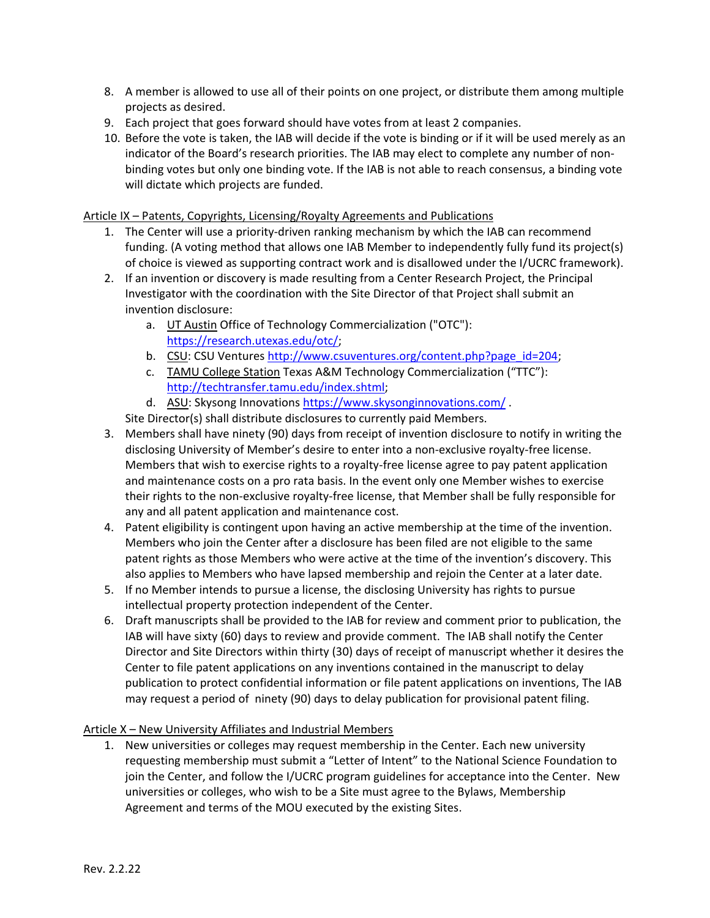- 8. A member is allowed to use all of their points on one project, or distribute them among multiple projects as desired.
- 9. Each project that goes forward should have votes from at least 2 companies.
- 10. Before the vote is taken, the IAB will decide if the vote is binding or if it will be used merely as an indicator of the Board's research priorities. The IAB may elect to complete any number of nonbinding votes but only one binding vote. If the IAB is not able to reach consensus, a binding vote will dictate which projects are funded.

Article IX – Patents, Copyrights, Licensing/Royalty Agreements and Publications

- 1. The Center will use a priority-driven ranking mechanism by which the IAB can recommend funding. (A voting method that allows one IAB Member to independently fully fund its project(s) of choice is viewed as supporting contract work and is disallowed under the I/UCRC framework).
- 2. If an invention or discovery is made resulting from a Center Research Project, the Principal Investigator with the coordination with the Site Director of that Project shall submit an invention disclosure:
	- a. UT Austin Office of Technology Commercialization ("OTC"): [https://research.utexas.edu/otc/;](https://research.utexas.edu/otc/)
	- b. CSU: CSU Ventures [http://www.csuventures.org/content.php?page\\_id=204;](http://www.csuventures.org/content.php?page_id=204)
	- c. TAMU College Station Texas A&M Technology Commercialization ("TTC"): [http://techtransfer.tamu.edu/index.shtml;](http://techtransfer.tamu.edu/index.shtml)
	- d. ASU: Skysong Innovations <https://www.skysonginnovations.com/> .
	- Site Director(s) shall distribute disclosures to currently paid Members.
- 3. Members shall have ninety (90) days from receipt of invention disclosure to notify in writing the disclosing University of Member's desire to enter into a non-exclusive royalty-free license. Members that wish to exercise rights to a royalty-free license agree to pay patent application and maintenance costs on a pro rata basis. In the event only one Member wishes to exercise their rights to the non-exclusive royalty-free license, that Member shall be fully responsible for any and all patent application and maintenance cost.
- 4. Patent eligibility is contingent upon having an active membership at the time of the invention. Members who join the Center after a disclosure has been filed are not eligible to the same patent rights as those Members who were active at the time of the invention's discovery. This also applies to Members who have lapsed membership and rejoin the Center at a later date.
- 5. If no Member intends to pursue a license, the disclosing University has rights to pursue intellectual property protection independent of the Center.
- 6. Draft manuscripts shall be provided to the IAB for review and comment prior to publication, the IAB will have sixty (60) days to review and provide comment. The IAB shall notify the Center Director and Site Directors within thirty (30) days of receipt of manuscript whether it desires the Center to file patent applications on any inventions contained in the manuscript to delay publication to protect confidential information or file patent applications on inventions, The IAB may request a period of ninety (90) days to delay publication for provisional patent filing.

# Article X – New University Affiliates and Industrial Members

1. New universities or colleges may request membership in the Center. Each new university requesting membership must submit a "Letter of Intent" to the National Science Foundation to join the Center, and follow the I/UCRC program guidelines for acceptance into the Center. New universities or colleges, who wish to be a Site must agree to the Bylaws, Membership Agreement and terms of the MOU executed by the existing Sites.